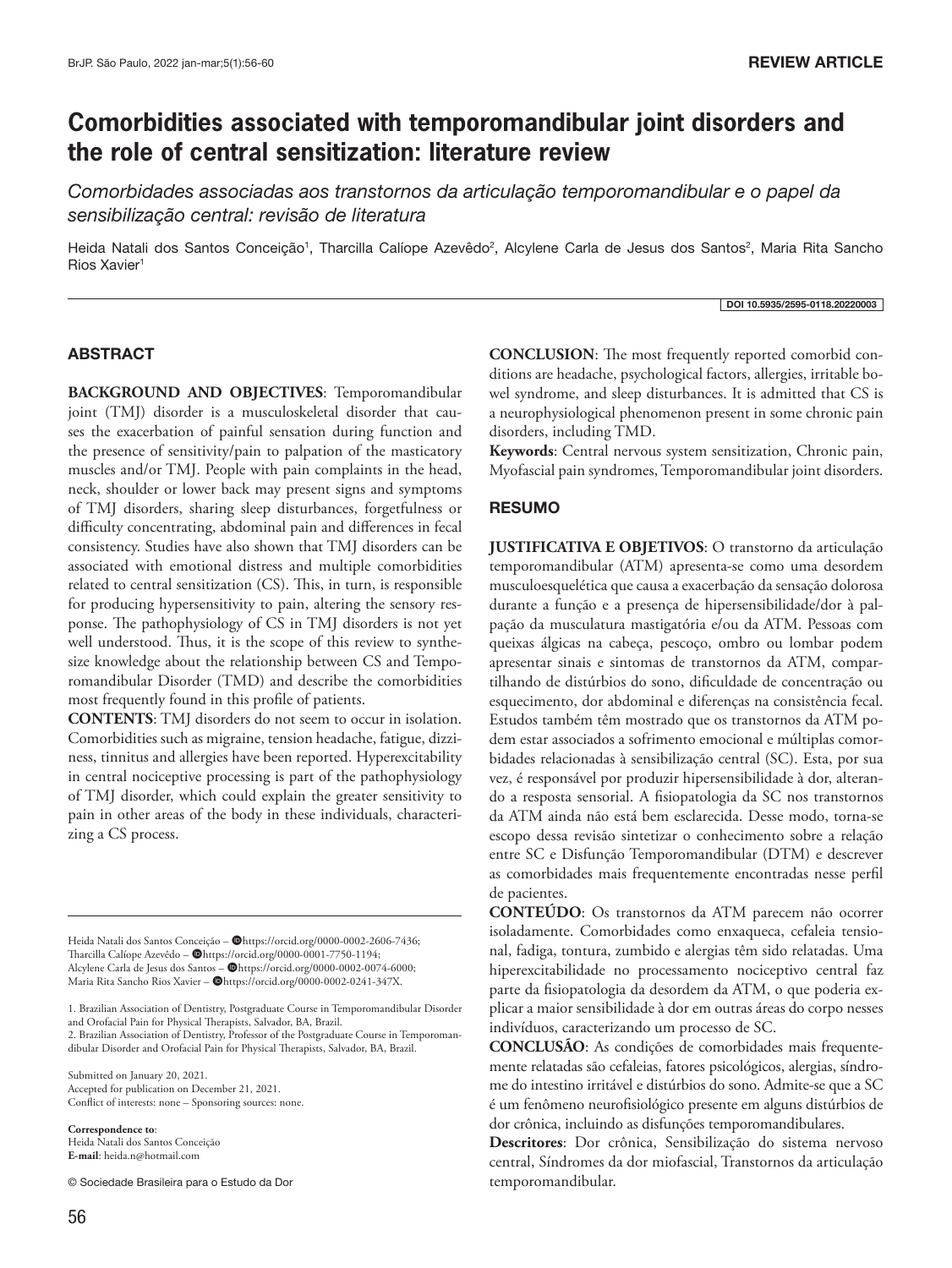# **Comorbidities associated with temporomandibular joint disorders and the role of central sensitization: literature review**

*Comorbidades associadas aos transtornos da articulação temporomandibular e o papel da sensibilização central: revisão de literatura*

Heida Natali dos Santos Conceição<sup>1</sup>, Tharcilla Calíope Azevêdo<sup>2</sup>, Alcylene Carla de Jesus dos Santos<sup>2</sup>, Maria Rita Sancho Rios Xavier<sup>1</sup>

#### DOI 10.5935/2595-0118.20220003

### ABSTRACT

**BACKGROUND AND OBJECTIVES**: Temporomandibular joint (TMJ) disorder is a musculoskeletal disorder that causes the exacerbation of painful sensation during function and the presence of sensitivity/pain to palpation of the masticatory muscles and/or TMJ. People with pain complaints in the head, neck, shoulder or lower back may present signs and symptoms of TMJ disorders, sharing sleep disturbances, forgetfulness or difficulty concentrating, abdominal pain and differences in fecal consistency. Studies have also shown that TMJ disorders can be associated with emotional distress and multiple comorbidities related to central sensitization (CS). This, in turn, is responsible for producing hypersensitivity to pain, altering the sensory response. The pathophysiology of CS in TMJ disorders is not yet well understood. Thus, it is the scope of this review to synthesize knowledge about the relationship between CS and Temporomandibular Disorder (TMD) and describe the comorbidities most frequently found in this profile of patients.

**CONTENTS**: TMJ disorders do not seem to occur in isolation. Comorbidities such as migraine, tension headache, fatigue, dizziness, tinnitus and allergies have been reported. Hyperexcitability in central nociceptive processing is part of the pathophysiology of TMJ disorder, which could explain the greater sensitivity to pain in other areas of the body in these individuals, characterizing a CS process.

Heida Natali dos Santos Conceição - @https://orcid.org/0000-0002-2606-7436; Tharcilla Calíope Azevêdo - @https://orcid.org/0000-0001-7750-1194; Alcylene Carla de Jesus dos Santos - @https://orcid.org/0000-0002-0074-6000; Maria Rita Sancho Rios Xavier - @https://orcid.org/0000-0002-0241-347X.

1. Brazilian Association of Dentistry, Postgraduate Course in Temporomandibular Disorder and Orofacial Pain for Physical Therapists, Salvador, BA, Brazil.

2. Brazilian Association of Dentistry, Professor of the Postgraduate Course in Temporomandibular Disorder and Orofacial Pain for Physical Therapists, Salvador, BA, Brazil.

Submitted on January 20, 2021. Accepted for publication on December 21, 2021. Conflict of interests: none – Sponsoring sources: none.

**Correspondence to**:

Heida Natali dos Santos Conceição **E-mail**: heida.n@hotmail.com

© Sociedade Brasileira para o Estudo da Dor

**CONCLUSION**: The most frequently reported comorbid conditions are headache, psychological factors, allergies, irritable bowel syndrome, and sleep disturbances. It is admitted that CS is a neurophysiological phenomenon present in some chronic pain disorders, including TMD.

**Keywords**: Central nervous system sensitization, Chronic pain, Myofascial pain syndromes, Temporomandibular joint disorders.

#### RESUMO

**JUSTIFICATIVA E OBJETIVOS**: O transtorno da articulação temporomandibular (ATM) apresenta-se como uma desordem musculoesquelética que causa a exacerbação da sensação dolorosa durante a função e a presença de hipersensibilidade/dor à palpação da musculatura mastigatória e/ou da ATM. Pessoas com queixas álgicas na cabeça, pescoço, ombro ou lombar podem apresentar sinais e sintomas de transtornos da ATM, compartilhando de distúrbios do sono, dificuldade de concentração ou esquecimento, dor abdominal e diferenças na consistência fecal. Estudos também têm mostrado que os transtornos da ATM podem estar associados a sofrimento emocional e múltiplas comorbidades relacionadas à sensibilização central (SC). Esta, por sua vez, é responsável por produzir hipersensibilidade à dor, alterando a resposta sensorial. A fisiopatologia da SC nos transtornos da ATM ainda não está bem esclarecida. Desse modo, torna-se escopo dessa revisão sintetizar o conhecimento sobre a relação entre SC e Disfunção Temporomandibular (DTM) e descrever as comorbidades mais frequentemente encontradas nesse perfil de pacientes.

**CONTEÚDO**: Os transtornos da ATM parecem não ocorrer isoladamente. Comorbidades como enxaqueca, cefaleia tensional, fadiga, tontura, zumbido e alergias têm sido relatadas. Uma hiperexcitabilidade no processamento nociceptivo central faz parte da fisiopatologia da desordem da ATM, o que poderia explicar a maior sensibilidade à dor em outras áreas do corpo nesses indivíduos, caracterizando um processo de SC.

**CONCLUSÃO**: As condições de comorbidades mais frequentemente relatadas são cefaleias, fatores psicológicos, alergias, síndrome do intestino irritável e distúrbios do sono. Admite-se que a SC é um fenômeno neurofisiológico presente em alguns distúrbios de dor crônica, incluindo as disfunções temporomandibulares.

**Descritores**: Dor crônica, Sensibilização do sistema nervoso central, Síndromes da dor miofascial, Transtornos da articulação temporomandibular.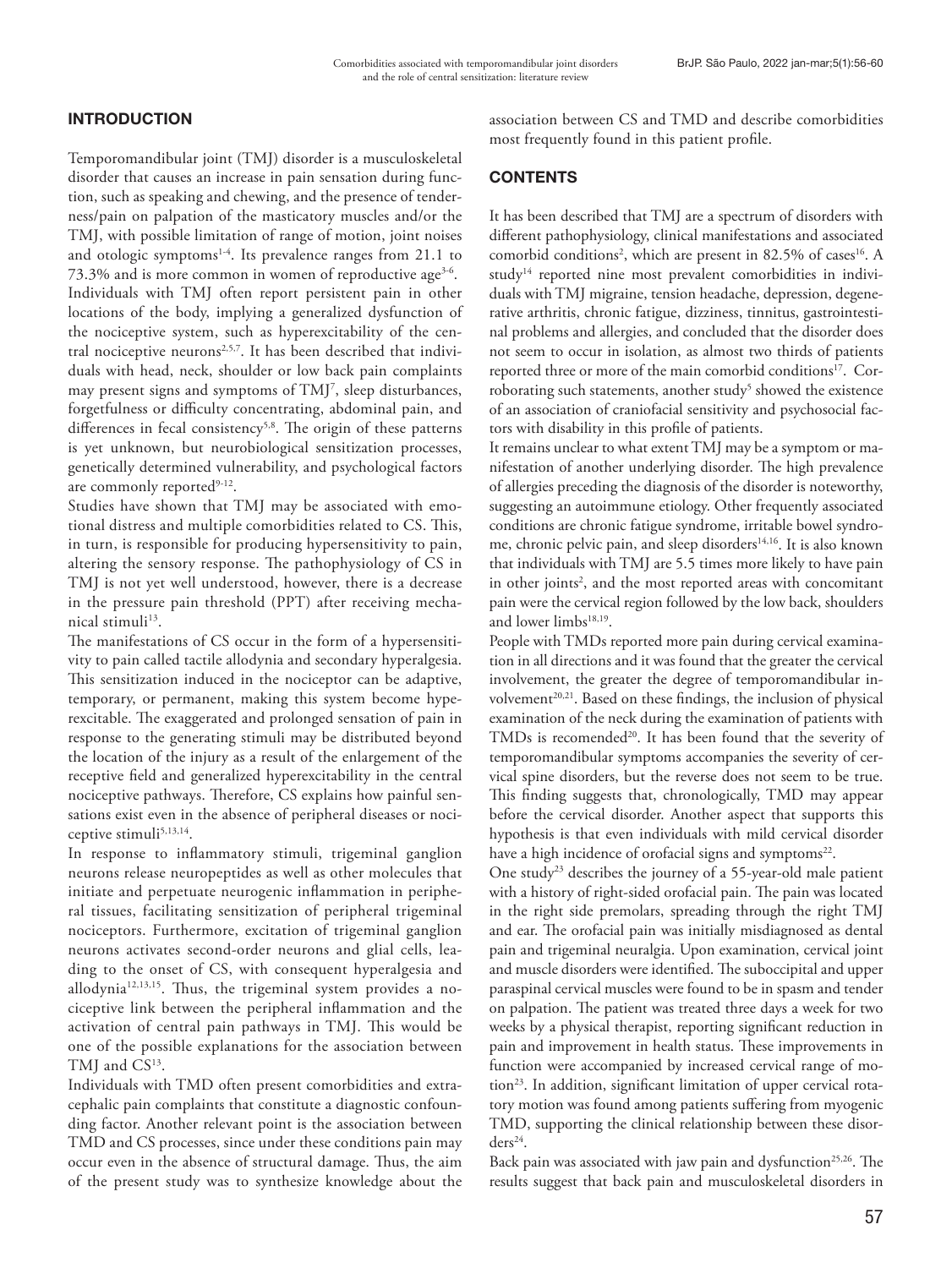### INTRODUCTION

Temporomandibular joint (TMJ) disorder is a musculoskeletal disorder that causes an increase in pain sensation during function, such as speaking and chewing, and the presence of tenderness/pain on palpation of the masticatory muscles and/or the TMJ, with possible limitation of range of motion, joint noises and otologic symptoms<sup>1-4</sup>. Its prevalence ranges from 21.1 to 73.3% and is more common in women of reproductive age<sup>3-6</sup>. Individuals with TMJ often report persistent pain in other locations of the body, implying a generalized dysfunction of the nociceptive system, such as hyperexcitability of the central nociceptive neurons<sup>2,5,7</sup>. It has been described that individuals with head, neck, shoulder or low back pain complaints may present signs and symptoms of TMJ7 , sleep disturbances, forgetfulness or difficulty concentrating, abdominal pain, and differences in fecal consistency<sup>5,8</sup>. The origin of these patterns is yet unknown, but neurobiological sensitization processes, genetically determined vulnerability, and psychological factors are commonly reported<sup>9-12</sup>.

Studies have shown that TMJ may be associated with emotional distress and multiple comorbidities related to CS. This, in turn, is responsible for producing hypersensitivity to pain, altering the sensory response. The pathophysiology of CS in TMJ is not yet well understood, however, there is a decrease in the pressure pain threshold (PPT) after receiving mechanical stimuli<sup>13</sup>.

The manifestations of CS occur in the form of a hypersensitivity to pain called tactile allodynia and secondary hyperalgesia. This sensitization induced in the nociceptor can be adaptive, temporary, or permanent, making this system become hyperexcitable. The exaggerated and prolonged sensation of pain in response to the generating stimuli may be distributed beyond the location of the injury as a result of the enlargement of the receptive field and generalized hyperexcitability in the central nociceptive pathways. Therefore, CS explains how painful sensations exist even in the absence of peripheral diseases or nociceptive stimuli<sup>5,13,14</sup>.

In response to inflammatory stimuli, trigeminal ganglion neurons release neuropeptides as well as other molecules that initiate and perpetuate neurogenic inflammation in peripheral tissues, facilitating sensitization of peripheral trigeminal nociceptors. Furthermore, excitation of trigeminal ganglion neurons activates second-order neurons and glial cells, leading to the onset of CS, with consequent hyperalgesia and allodynia12,13,15. Thus, the trigeminal system provides a nociceptive link between the peripheral inflammation and the activation of central pain pathways in TMJ. This would be one of the possible explanations for the association between TMJ and CS<sup>13</sup>.

Individuals with TMD often present comorbidities and extracephalic pain complaints that constitute a diagnostic confounding factor. Another relevant point is the association between TMD and CS processes, since under these conditions pain may occur even in the absence of structural damage. Thus, the aim of the present study was to synthesize knowledge about the

association between CS and TMD and describe comorbidities most frequently found in this patient profile.

## **CONTENTS**

It has been described that TMJ are a spectrum of disorders with different pathophysiology, clinical manifestations and associated comorbid conditions<sup>2</sup>, which are present in 82.5% of cases<sup>16</sup>. A study<sup>14</sup> reported nine most prevalent comorbidities in individuals with TMJ migraine, tension headache, depression, degenerative arthritis, chronic fatigue, dizziness, tinnitus, gastrointestinal problems and allergies, and concluded that the disorder does not seem to occur in isolation, as almost two thirds of patients reported three or more of the main comorbid conditions<sup>17</sup>. Corroborating such statements, another study<sup>5</sup> showed the existence of an association of craniofacial sensitivity and psychosocial factors with disability in this profile of patients.

It remains unclear to what extent TMJ may be a symptom or manifestation of another underlying disorder. The high prevalence of allergies preceding the diagnosis of the disorder is noteworthy, suggesting an autoimmune etiology. Other frequently associated conditions are chronic fatigue syndrome, irritable bowel syndrome, chronic pelvic pain, and sleep disorders<sup>14,16</sup>. It is also known that individuals with TMJ are 5.5 times more likely to have pain in other joints<sup>2</sup>, and the most reported areas with concomitant pain were the cervical region followed by the low back, shoulders and lower limbs<sup>18,19</sup>.

People with TMDs reported more pain during cervical examination in all directions and it was found that the greater the cervical involvement, the greater the degree of temporomandibular involvement<sup>20,21</sup>. Based on these findings, the inclusion of physical examination of the neck during the examination of patients with TMDs is recomended<sup>20</sup>. It has been found that the severity of temporomandibular symptoms accompanies the severity of cervical spine disorders, but the reverse does not seem to be true. This finding suggests that, chronologically, TMD may appear before the cervical disorder. Another aspect that supports this hypothesis is that even individuals with mild cervical disorder have a high incidence of orofacial signs and symptoms<sup>22</sup>.

One study<sup>23</sup> describes the journey of a 55-year-old male patient with a history of right-sided orofacial pain. The pain was located in the right side premolars, spreading through the right TMJ and ear. The orofacial pain was initially misdiagnosed as dental pain and trigeminal neuralgia. Upon examination, cervical joint and muscle disorders were identified. The suboccipital and upper paraspinal cervical muscles were found to be in spasm and tender on palpation. The patient was treated three days a week for two weeks by a physical therapist, reporting significant reduction in pain and improvement in health status. These improvements in function were accompanied by increased cervical range of motion<sup>23</sup>. In addition, significant limitation of upper cervical rotatory motion was found among patients suffering from myogenic TMD, supporting the clinical relationship between these disor $ders<sup>24</sup>$ .

Back pain was associated with jaw pain and dysfunction<sup>25,26</sup>. The results suggest that back pain and musculoskeletal disorders in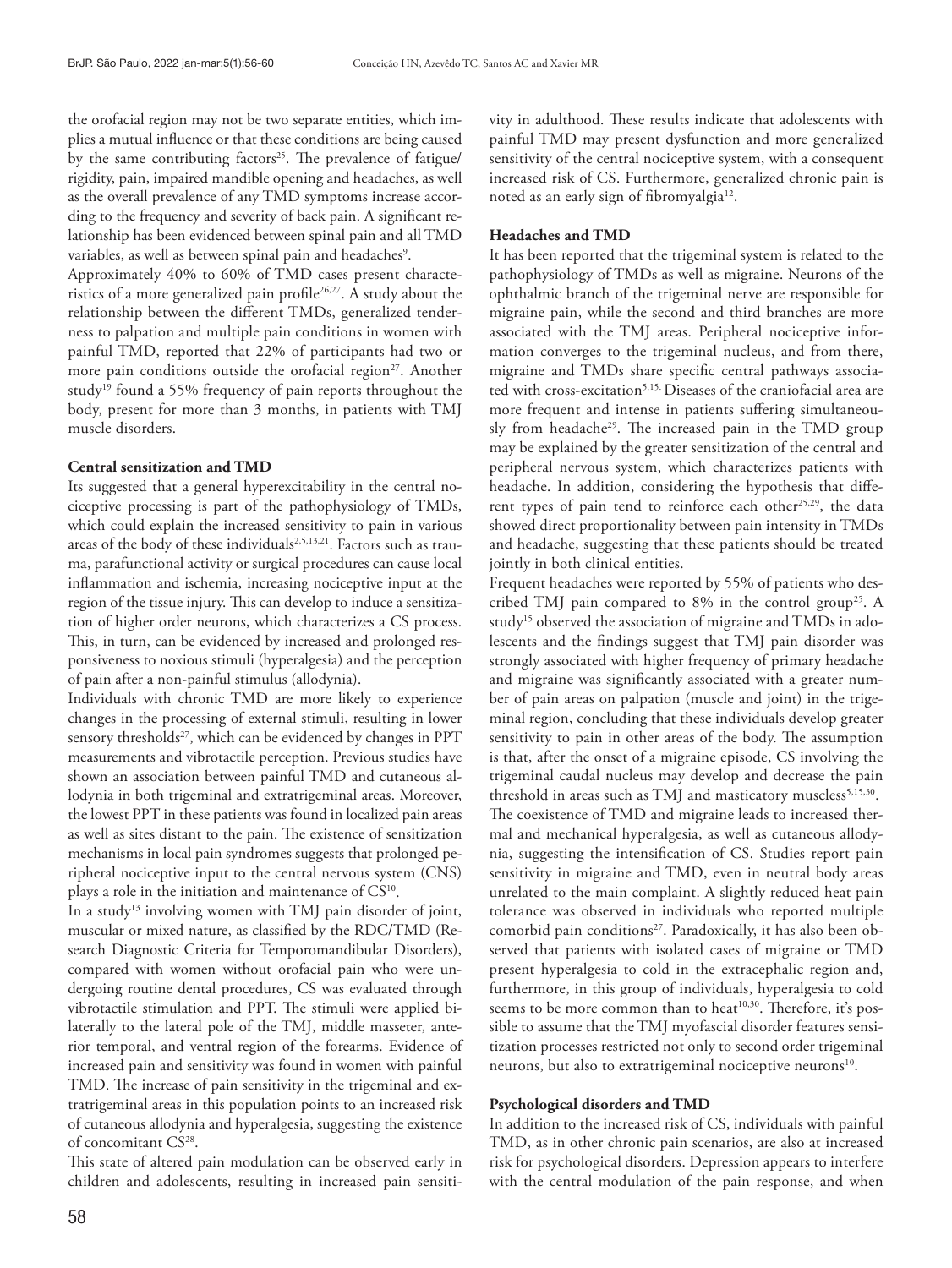the orofacial region may not be two separate entities, which implies a mutual influence or that these conditions are being caused by the same contributing factors<sup>25</sup>. The prevalence of fatigue/ rigidity, pain, impaired mandible opening and headaches, as well as the overall prevalence of any TMD symptoms increase according to the frequency and severity of back pain. A significant relationship has been evidenced between spinal pain and all TMD variables, as well as between spinal pain and headaches<sup>9</sup>.

Approximately 40% to 60% of TMD cases present characteristics of a more generalized pain profile<sup>26,27</sup>. A study about the relationship between the different TMDs, generalized tenderness to palpation and multiple pain conditions in women with painful TMD, reported that 22% of participants had two or more pain conditions outside the orofacial region<sup>27</sup>. Another study<sup>19</sup> found a 55% frequency of pain reports throughout the body, present for more than 3 months, in patients with TMJ muscle disorders.

### **Central sensitization and TMD**

Its suggested that a general hyperexcitability in the central nociceptive processing is part of the pathophysiology of TMDs, which could explain the increased sensitivity to pain in various areas of the body of these individuals<sup>2,5,13,21</sup>. Factors such as trauma, parafunctional activity or surgical procedures can cause local inflammation and ischemia, increasing nociceptive input at the region of the tissue injury. This can develop to induce a sensitization of higher order neurons, which characterizes a CS process. This, in turn, can be evidenced by increased and prolonged responsiveness to noxious stimuli (hyperalgesia) and the perception of pain after a non-painful stimulus (allodynia).

Individuals with chronic TMD are more likely to experience changes in the processing of external stimuli, resulting in lower sensory thresholds<sup>27</sup>, which can be evidenced by changes in PPT measurements and vibrotactile perception. Previous studies have shown an association between painful TMD and cutaneous allodynia in both trigeminal and extratrigeminal areas. Moreover, the lowest PPT in these patients was found in localized pain areas as well as sites distant to the pain. The existence of sensitization mechanisms in local pain syndromes suggests that prolonged peripheral nociceptive input to the central nervous system (CNS) plays a role in the initiation and maintenance of CS<sup>10</sup>.

In a study<sup>13</sup> involving women with TMJ pain disorder of joint, muscular or mixed nature, as classified by the RDC/TMD (Research Diagnostic Criteria for Temporomandibular Disorders), compared with women without orofacial pain who were undergoing routine dental procedures, CS was evaluated through vibrotactile stimulation and PPT. The stimuli were applied bilaterally to the lateral pole of the TMJ, middle masseter, anterior temporal, and ventral region of the forearms. Evidence of increased pain and sensitivity was found in women with painful TMD. The increase of pain sensitivity in the trigeminal and extratrigeminal areas in this population points to an increased risk of cutaneous allodynia and hyperalgesia, suggesting the existence of concomitant CS<sup>28</sup>.

This state of altered pain modulation can be observed early in children and adolescents, resulting in increased pain sensitivity in adulthood. These results indicate that adolescents with painful TMD may present dysfunction and more generalized sensitivity of the central nociceptive system, with a consequent increased risk of CS. Furthermore, generalized chronic pain is noted as an early sign of fibromyalgia<sup>12</sup>.

#### **Headaches and TMD**

It has been reported that the trigeminal system is related to the pathophysiology of TMDs as well as migraine. Neurons of the ophthalmic branch of the trigeminal nerve are responsible for migraine pain, while the second and third branches are more associated with the TMJ areas. Peripheral nociceptive information converges to the trigeminal nucleus, and from there, migraine and TMDs share specific central pathways associated with cross-excitation<sup>5,15.</sup> Diseases of the craniofacial area are more frequent and intense in patients suffering simultaneously from headache<sup>29</sup>. The increased pain in the TMD group may be explained by the greater sensitization of the central and peripheral nervous system, which characterizes patients with headache. In addition, considering the hypothesis that different types of pain tend to reinforce each other<sup>25,29</sup>, the data showed direct proportionality between pain intensity in TMDs and headache, suggesting that these patients should be treated jointly in both clinical entities.

Frequent headaches were reported by 55% of patients who described TMJ pain compared to 8% in the control group<sup>25</sup>. A study<sup>15</sup> observed the association of migraine and TMDs in adolescents and the findings suggest that TMJ pain disorder was strongly associated with higher frequency of primary headache and migraine was significantly associated with a greater number of pain areas on palpation (muscle and joint) in the trigeminal region, concluding that these individuals develop greater sensitivity to pain in other areas of the body. The assumption is that, after the onset of a migraine episode, CS involving the trigeminal caudal nucleus may develop and decrease the pain threshold in areas such as TMJ and masticatory muscless<sup>5,15,30</sup>. The coexistence of TMD and migraine leads to increased thermal and mechanical hyperalgesia, as well as cutaneous allodynia, suggesting the intensification of CS. Studies report pain sensitivity in migraine and TMD, even in neutral body areas unrelated to the main complaint. A slightly reduced heat pain tolerance was observed in individuals who reported multiple comorbid pain conditions<sup>27</sup>. Paradoxically, it has also been observed that patients with isolated cases of migraine or TMD present hyperalgesia to cold in the extracephalic region and, furthermore, in this group of individuals, hyperalgesia to cold seems to be more common than to heat<sup>10,30</sup>. Therefore, it's possible to assume that the TMJ myofascial disorder features sensitization processes restricted not only to second order trigeminal neurons, but also to extratrigeminal nociceptive neurons<sup>10</sup>.

#### **Psychological disorders and TMD**

In addition to the increased risk of CS, individuals with painful TMD, as in other chronic pain scenarios, are also at increased risk for psychological disorders. Depression appears to interfere with the central modulation of the pain response, and when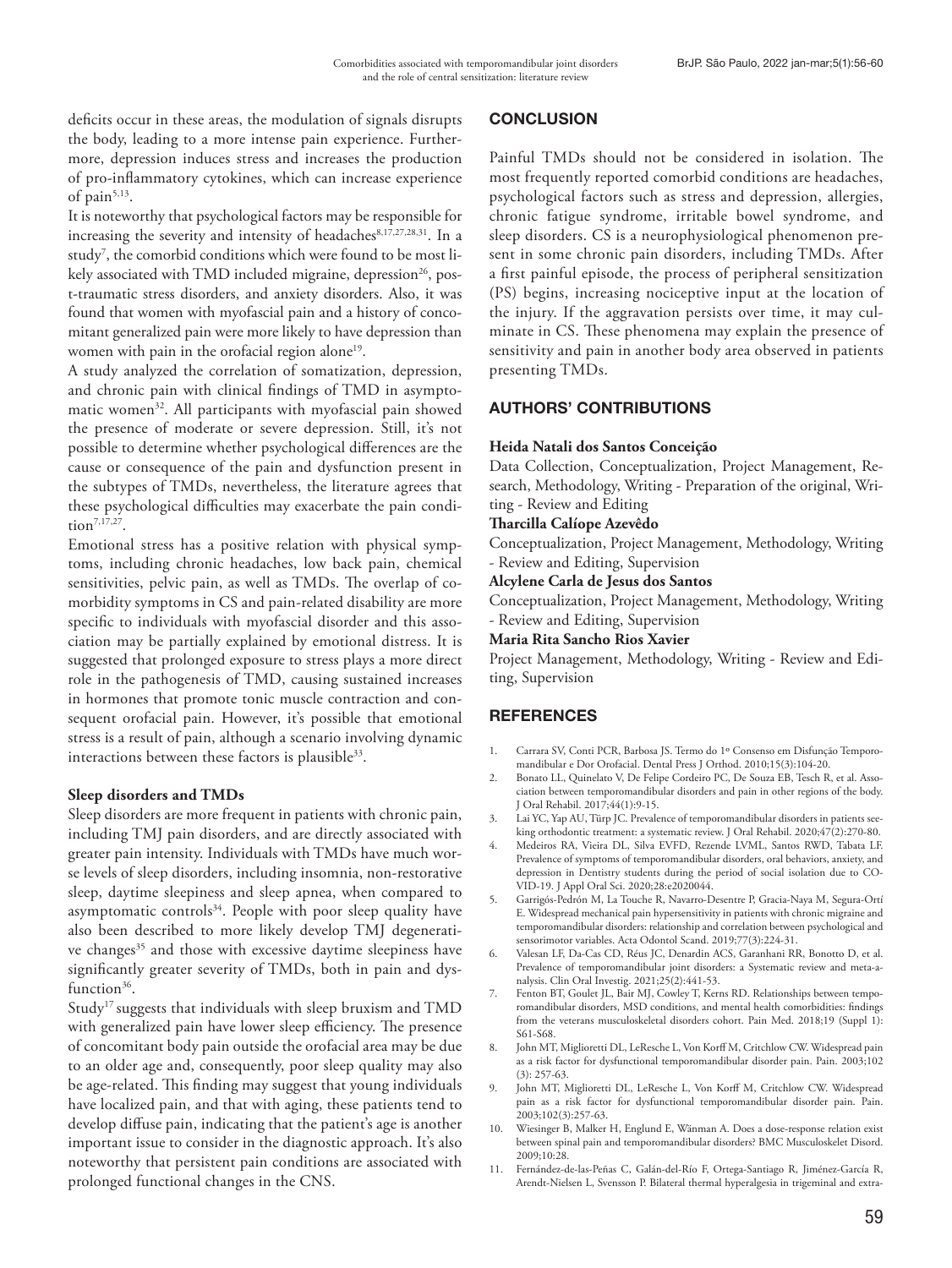deficits occur in these areas, the modulation of signals disrupts the body, leading to a more intense pain experience. Furthermore, depression induces stress and increases the production of pro-inflammatory cytokines, which can increase experience of pain $5,13$ .

It is noteworthy that psychological factors may be responsible for increasing the severity and intensity of headaches<sup>8,17,27,28,31</sup>. In a study7 , the comorbid conditions which were found to be most likely associated with TMD included migraine, depression<sup>26</sup>, post-traumatic stress disorders, and anxiety disorders. Also, it was found that women with myofascial pain and a history of concomitant generalized pain were more likely to have depression than women with pain in the orofacial region alone<sup>19</sup>.

A study analyzed the correlation of somatization, depression, and chronic pain with clinical findings of TMD in asymptomatic women<sup>32</sup>. All participants with myofascial pain showed the presence of moderate or severe depression. Still, it's not possible to determine whether psychological differences are the cause or consequence of the pain and dysfunction present in the subtypes of TMDs, nevertheless, the literature agrees that these psychological difficulties may exacerbate the pain condition7,17,27.

Emotional stress has a positive relation with physical symptoms, including chronic headaches, low back pain, chemical sensitivities, pelvic pain, as well as TMDs. The overlap of comorbidity symptoms in CS and pain-related disability are more specific to individuals with myofascial disorder and this association may be partially explained by emotional distress. It is suggested that prolonged exposure to stress plays a more direct role in the pathogenesis of TMD, causing sustained increases in hormones that promote tonic muscle contraction and consequent orofacial pain. However, it's possible that emotional stress is a result of pain, although a scenario involving dynamic interactions between these factors is plausible<sup>33</sup>.

### **Sleep disorders and TMDs**

Sleep disorders are more frequent in patients with chronic pain, including TMJ pain disorders, and are directly associated with greater pain intensity. Individuals with TMDs have much worse levels of sleep disorders, including insomnia, non-restorative sleep, daytime sleepiness and sleep apnea, when compared to asymptomatic controls<sup>34</sup>. People with poor sleep quality have also been described to more likely develop TMJ degenerative changes<sup>35</sup> and those with excessive daytime sleepiness have significantly greater severity of TMDs, both in pain and dysfunction<sup>36</sup>.

Study<sup>17</sup> suggests that individuals with sleep bruxism and TMD with generalized pain have lower sleep efficiency. The presence of concomitant body pain outside the orofacial area may be due to an older age and, consequently, poor sleep quality may also be age-related. This finding may suggest that young individuals have localized pain, and that with aging, these patients tend to develop diffuse pain, indicating that the patient's age is another important issue to consider in the diagnostic approach. It's also noteworthy that persistent pain conditions are associated with prolonged functional changes in the CNS.

### **CONCLUSION**

Painful TMDs should not be considered in isolation. The most frequently reported comorbid conditions are headaches, psychological factors such as stress and depression, allergies, chronic fatigue syndrome, irritable bowel syndrome, and sleep disorders. CS is a neurophysiological phenomenon present in some chronic pain disorders, including TMDs. After a first painful episode, the process of peripheral sensitization (PS) begins, increasing nociceptive input at the location of the injury. If the aggravation persists over time, it may culminate in CS. These phenomena may explain the presence of sensitivity and pain in another body area observed in patients presenting TMDs.

# AUTHORS' CONTRIBUTIONS

### **Heida Natali dos Santos Conceição**

Data Collection, Conceptualization, Project Management, Research, Methodology, Writing - Preparation of the original, Writing - Review and Editing

# **Tharcilla Calíope Azevêdo**

Conceptualization, Project Management, Methodology, Writing - Review and Editing, Supervision

### **Alcylene Carla de Jesus dos Santos**

Conceptualization, Project Management, Methodology, Writing - Review and Editing, Supervision

**Maria Rita Sancho Rios Xavier** 

Project Management, Methodology, Writing - Review and Editing, Supervision

# **REFERENCES**

- 1. Carrara SV, Conti PCR, Barbosa JS. Termo do 1º Consenso em Disfunção Temporomandibular e Dor Orofacial. Dental Press J Orthod. 2010;15(3):104-20.
- 2. Bonato LL, Quinelato V, De Felipe Cordeiro PC, De Souza EB, Tesch R, et al. Association between temporomandibular disorders and pain in other regions of the body. J Oral Rehabil. 2017;44(1):9-15.
- 3. Lai YC, Yap AU, Türp JC. Prevalence of temporomandibular disorders in patients seeking orthodontic treatment: a systematic review. J Oral Rehabil. 2020;47(2):270-80.
- 4. Medeiros RA, Vieira DL, Silva EVFD, Rezende LVML, Santos RWD, Tabata LF. Prevalence of symptoms of temporomandibular disorders, oral behaviors, anxiety, and depression in Dentistry students during the period of social isolation due to CO-VID-19. J Appl Oral Sci. 2020;28:e2020044.
- 5. Garrigós-Pedrón M, La Touche R, Navarro-Desentre P, Gracia-Naya M, Segura-Ortí E. Widespread mechanical pain hypersensitivity in patients with chronic migraine and temporomandibular disorders: relationship and correlation between psychological and sensorimotor variables. Acta Odontol Scand. 2019;77(3):224-31.
- 6. Valesan LF, Da-Cas CD, Réus JC, Denardin ACS, Garanhani RR, Bonotto D, et al. Prevalence of temporomandibular joint disorders: a Systematic review and meta-analysis. Clin Oral Investig. 2021;25(2):441-53.
- 7. Fenton BT, Goulet JL, Bair MJ, Cowley T, Kerns RD. Relationships between temporomandibular disorders, MSD conditions, and mental health comorbidities: findings from the veterans musculoskeletal disorders cohort. Pain Med. 2018;19 (Suppl 1): S61-S68.
- 8. John MT, Miglioretti DL, LeResche L, Von Korff M, Critchlow CW. Widespread pain as a risk factor for dysfunctional temporomandibular disorder pain. Pain. 2003;102 (3): 257-63.
- 9. John MT, Miglioretti DL, LeResche L, Von Korff M, Critchlow CW. Widespread pain as a risk factor for dysfunctional temporomandibular disorder pain. Pain. 2003;102(3):257-63.
- 10. Wiesinger B, Malker H, Englund E, Wänman A. Does a dose-response relation exist between spinal pain and temporomandibular disorders? BMC Musculoskelet Disord. 2009;10:28.
- 11. Fernández-de-las-Peñas C, Galán-del-Río F, Ortega-Santiago R, Jiménez-García R, Arendt-Nielsen L, Svensson P. Bilateral thermal hyperalgesia in trigeminal and extra-